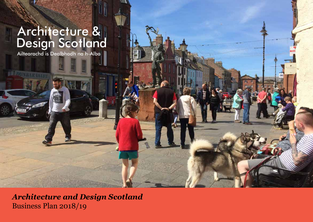# Architecture &<br>Design Scotland<br>Ailtearachd is Dealbhadh na h-Alba

**DUNEAU MILD** 

*Business Plan 2017 – 18 Architecture and Design Scotland* Business Plan 2018/19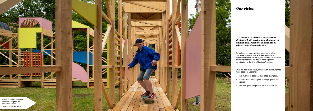## *Our vision*

#### **We live in a Scotland where a welldesigned built environment supports sustainable, resilient communities which meet the needs of all.**

To realise our vision, we have identified a set of outcomes to work towards. These support the national outcomes set out by the Scottish Government to ensure that what we do will make a positive contribution to the lives of Scotland's people.

Over the next three years, we will work to ensure that more people in Scotland:

- are involved in decisions that affect their places
- benefit from well-designed buildings, places and spaces
- see how good design adds value to their lives.



Image: The Happenstance Armature designed by Baxendale Studio. Photo by Basharat Khan

**AND THE REAL PROPERTY** 

**The Company of the Company of the Company** 

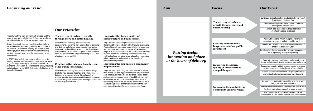### *Delivering our vision*

The nature of the built environment is broad and the scope of our work reflects this. To focus our work, we have identified a set of issues we want to tackle.

Before choosing these, we have listened carefully to our stakeholders and been guided by the priorities of the Scottish Government, notably the reform of the planning system, the delivery of affordable housing, provision for early years and the regeneration of our town centres.

In 2018/19 we will deliver a mix of advice, capacity building and outreach as we work to promote the value of good design. We will pay particular attention to promoting Scotland on the international stage, including participating as at the 2018 Architecture Exhibition at La Biennale di Venezia.

#### **The delivery of inclusive growth through more and better housing**

Why? Because providing advice on housing developments, exploring new approaches to planning and delivery and sharing good practice from across the country will enable us to support the Joint Housing Delivery Plan, create better designed places and help meet the government's target of creating 50,000 new affordable homes by 2020.

#### **Creating better schools, hospitals and other public investment**

Work with users to inform design briefs for new education, healthcare and other public buildings

Why? Because working with users to inform design briefs for new schools, hospitals and other public buildings and promoting how this collaborative approach works, empowers people in decision-making, supports design-led procurement and improves the way we deliver public services.

#### **Improving the design quality of infrastructure and public space**

Why? Because supporting the implementation of Designing Streets and Green Infrastructure: Design and Placemaking will encourage more effective engagement with communities in creating places. We will deliver projects that help meet social and environmental needs; improve health and wellbeing; increase walking and cycling; facilitate climate change adaptation; encourage urban biodiversity and underline the benefits of preventative expenditure.

### *Focus Our Work*

*Putting design, innovation and place at the heart of delivery* Prioritise housing-based development proposals through our advisory work

Support local authorities in the preparation of effective spatial strategies

Work with funders, practitioners and regulators to deliver well-designed streets, infrastructure and spaces

Support community initiatives using design to engage residents and users in the future of their streets

Support the implementation of Designing Streets by promoting best practice examples from Scotland

Support the creation of spaces to deliver services for children in their early years

Develop place-based approaches to asset management, service planning and spatial planning

Provide opportunities for the public to engage with design, architecture and place

Connect communities across Scotland with opportunities to shape their places through a range of work

Use the lessons from Stalled Spaces to inspire communities to take control of their own environments

Contribute to implementing the Scottish Government's Joint Housing Delivery Plan

**The delivery of inclusive growth through more and better housing**

**Creating better schools, hospitals and other public investment**

**Improving the design quality of infrastructure and public space**

**Increasing the emphasis on community empowerment**

#### **Increasing the emphasis on community empowerment**

Why? Because by working with communities to shape their places, we can support community empowerment, help create sustainable places designed around people and promote a stronger sense of local identity. As part of this work we will underline the key importance of stewardship at all levels, as looking after what we have and building a sense of shared ownership of the built environment is critical for a more sustainable future.

#### *Our Priorities*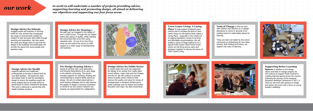## *our work*

#### **Town Centre Living: A Caring**

**Place** To help support Scotland's town centres and to increase the level of town centre living we will explore what makes a Caring Place - especially in the context of an ageing population, access to services and affordable accommodation. We will publish a series of blogs leading up to a special Public Sector Client Forum event where we will bring service users and designers together to discuss the future of Town Centre Living.

#### **Pre-Design Housing Advice** is

aimed at working with Local authorities and Housing Associations at an early stage in the delivery of housing. The service includes supports on visioning, briefing and commissioning to achieve better places by design. We aim to embed placemaking in local housing strategies and to help improve the quality of design in housing investment. In 2018/19 we will conduct research and scoping out opportunities for collaboration.

#### **Design Advice for Housing** in

supports patients and healthcare professionals to develop a shared brief for new NHS facilities. We assist the client and design team to test the developing design to ensure the qualities sought are being realised and we provide advice to government to inform investment decisions. This work is delivered in partnership with Health Facilities Scotland.

the past year we engaged in the design of over 13,000 homes. Through this we helped teams plan places of quality, whilst realising the economies that come from using repeated units. As one of our key focus areas we will extend this service to offer support to a wider range of developments and locations.

**Tests of Change** in this we work with children and teachers to co-design alterations to rooms or grounds of an existing school to make better places for learning.

#### **Design Advice for Public Sector**

In recent years this work has supported the design of an energy from waste plant, council offices, major road and foot bridges, and the A9. We will continue to provide advice to public sector clients to help improve the quality and value for money of developments in transport infrastructure, public buildings such as Higher and Further Education and major city deal investments.

#### **Design Advice for Health**

*In 2018/19 will undertake a number of projects providing advice, supporting learning and promoting design, all aimed at delivering our objectives and supporting our four focus areas.* 

> These are built and tested by the school community as prototyping for how other schools, both existing and future, can support new ways of learning.







#### **Supporting Better Learning**

**Spaces** In addition to the design advice and tests of change projects we will continue to support those involved in creating learning spaces across the country. Following the success of the inaugural Education Buildings Conference in 2017, in 2018 we will work with partners to shape and deliver the event with a focus on young people's wellbeing.

#### **Design Advice for Schools**

engages pupils and teachers in forming briefs for new schools that encapsulate the range of environments needed for children to test and grow their skills through teaching and exploration. We then assist the client and design team to test that the design of the buildings and landscapes will provide the places the young people and teachers need.

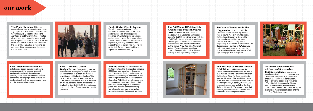## *our work*

#### **Local Design Review Panels**

to help grow design capacity in planning systems around the country we assist local panels to share information and good practice, and support local bodies who are considering developing a panel to build on the learning of both our design advice work and the work of other panels.

#### **Public Sector Clients Forum** We will organise events and briefing materials to support those in the public sector tasked with procuring public buildings. We will share our experience and act as a convener for a space where 'clients' from the public sector can share experience, learning and ideas from across the public sector. This year we will particularly focus on A Caring Place and aspects of Town Centre Living.

**Design Forum** By organising a series of events and briefings on a range of topics we will continue to support a network of practitioners within local authorities. This network allows them to learn from each other, while providing us with vital feedback on the issues facing design professionals in local authorities. In 2018/19 themes include residential delivery from masterplans to plot passports.

**Local Authority Urban** 

#### **The Place Standard** This is an

award-winning way to evaluate what makes a good place. It was developed by Scottish Government, NHS Health Scotland and Architecture and Design Scotland. The tool allows users to consider the physical and social aspects of a place. In 2018/19 we will create and publish a set of case studies on the use of Place Standard in Planning, as well as facilitate workshops on the use of the Place Standard.



#### **The A&DS and RIAS Scottish Architecture Student Awards**

**2018** An annual award to celebrate the best work of Scotland's architecture students. In 2018 we will continue with the "Chiff-Chaff" format where the nominated students present their work in rapid-fire presentations. The awards are followed by the Annual Andy MacMillan Memorial lecture. The winning and shortlisted projects form part of a public exhibition starting at The Lighthouse, Glasgow.

#### **The Best Use of Timber Awards Exhibition 2018** showcases the

winner and shortlisted entries to the annual RIAS Awards scheme. Forestry Commission Scotland and Wood for Good combine to sponsor this award. The exhibition, curated by Architecture and Design Scotland started at The Lighthouse, Glasgow, in early 2018 before going on a tour, including Bowling Harbour (pictured). The Award is aimed at encouraging innovative and creative use of timber in new buildings in Scotland.

#### **Material Considerations: A Library of Sustainable Building Materials** showcases

sustainable, traditional and emerging low carbon building products, to promote and encourage innovation in construction. The library gives access to a wide ange of Scottish building materials. Working with partners we will provide CPD for built environment students and professionals, for example on material specification and the benefits of building re-use.

**Making Places** is a successor to the Scottish Sustainable Communities Initiative (SSCI) and was launched in September 2017. It provides funding and support to communities wanting to participate in and lead design events such as workshops or charrettes. A&DS leads a pilot programme to support communities to develop their skills and deliver projects in relation to place. This includes capacity building workshops, funding events as well as producing thematic factsheets/checklists.

**Scotland + Venice 2018: The Happenstance** working with the Scotland + Venice Partnership and the Year of Young People in 2018 to curate Scotland's contribution to the world's most prestigious architecture event - the Architecture Biennale, Venice. Responding to the theme of 'Freespace' The Happenstance - curated by WAVEparticle - will bring together artists and architects to explore how play can help people of all ages to engage with their places.